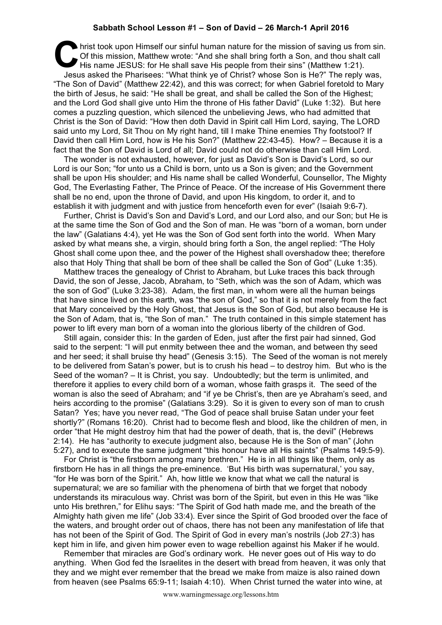## **Sabbath School Lesson #1 – Son of David – 26 March-1 April 2016**

hrist took upon Himself our sinful human nature for the mission of saving us from sin.<br>
Of this mission, Matthew wrote: "And she shall bring forth a Son, and thou shalt call<br>
His name JESUS: for He shall save His people fr Of this mission, Matthew wrote: "And she shall bring forth a Son, and thou shalt call His name JESUS: for He shall save His people from their sins" (Matthew 1:21). Jesus asked the Pharisees: "What think ye of Christ? whose Son is He?" The reply was, "The Son of David" (Matthew 22:42), and this was correct; for when Gabriel foretold to Mary the birth of Jesus, he said: "He shall be great, and shall be called the Son of the Highest; and the Lord God shall give unto Him the throne of His father David" (Luke 1:32). But here comes a puzzling question, which silenced the unbelieving Jews, who had admitted that Christ is the Son of David: "How then doth David in Spirit call Him Lord, saying, The LORD said unto my Lord, Sit Thou on My right hand, till I make Thine enemies Thy footstool? If David then call Him Lord, how is He his Son?" (Matthew 22:43-45). How? – Because it is a fact that the Son of David is Lord of all; David could not do otherwise than call Him Lord.

The wonder is not exhausted, however, for just as David's Son is David's Lord, so our Lord is our Son; "for unto us a Child is born, unto us a Son is given; and the Government shall be upon His shoulder; and His name shall be called Wonderful, Counsellor, The Mighty God, The Everlasting Father, The Prince of Peace. Of the increase of His Government there shall be no end, upon the throne of David, and upon His kingdom, to order it, and to establish it with judgment and with justice from henceforth even for ever" (Isaiah 9:6-7).

Further, Christ is David's Son and David's Lord, and our Lord also, and our Son; but He is at the same time the Son of God and the Son of man. He was "born of a woman, born under the law" (Galatians 4:4), yet He was the Son of God sent forth into the world. When Mary asked by what means she, a virgin, should bring forth a Son, the angel replied: "The Holy Ghost shall come upon thee, and the power of the Highest shall overshadow thee; therefore also that Holy Thing that shall be born of thee shall be called the Son of God" (Luke 1:35).

Matthew traces the genealogy of Christ to Abraham, but Luke traces this back through David, the son of Jesse, Jacob, Abraham, to "Seth, which was the son of Adam, which was the son of God" (Luke 3:23-38). Adam, the first man, in whom were all the human beings that have since lived on this earth, was "the son of God," so that it is not merely from the fact that Mary conceived by the Holy Ghost, that Jesus is the Son of God, but also because He is the Son of Adam, that is, "the Son of man." The truth contained in this simple statement has power to lift every man born of a woman into the glorious liberty of the children of God.

Still again, consider this: In the garden of Eden, just after the first pair had sinned, God said to the serpent: "I will put enmity between thee and the woman, and between thy seed and her seed; it shall bruise thy head" (Genesis 3:15). The Seed of the woman is not merely to be delivered from Satan's power, but is to crush his head – to destroy him. But who is the Seed of the woman? – It is Christ, you say. Undoubtedly; but the term is unlimited, and therefore it applies to every child born of a woman, whose faith grasps it. The seed of the woman is also the seed of Abraham; and "if ye be Christ's, then are ye Abraham's seed, and heirs according to the promise" (Galatians 3:29). So it is given to every son of man to crush Satan? Yes; have you never read, "The God of peace shall bruise Satan under your feet shortly?" (Romans 16:20). Christ had to become flesh and blood, like the children of men, in order "that He might destroy him that had the power of death, that is, the devil" (Hebrews 2:14). He has "authority to execute judgment also, because He is the Son of man" (John 5:27), and to execute the same judgment "this honour have all His saints" (Psalms 149:5-9).

For Christ is "the firstborn among many brethren." He is in all things like them, only as firstborn He has in all things the pre-eminence. 'But His birth was supernatural,' you say, "for He was born of the Spirit." Ah, how little we know that what we call the natural is supernatural; we are so familiar with the phenomena of birth that we forget that nobody understands its miraculous way. Christ was born of the Spirit, but even in this He was "like unto His brethren," for Elihu says: "The Spirit of God hath made me, and the breath of the Almighty hath given me life" (Job 33:4). Ever since the Spirit of God brooded over the face of the waters, and brought order out of chaos, there has not been any manifestation of life that has not been of the Spirit of God. The Spirit of God in every man's nostrils (Job 27:3) has kept him in life, and given him power even to wage rebellion against his Maker if he would.

Remember that miracles are God's ordinary work. He never goes out of His way to do anything. When God fed the Israelites in the desert with bread from heaven, it was only that they and we might ever remember that the bread we make from maize is also rained down from heaven (see Psalms 65:9-11; Isaiah 4:10). When Christ turned the water into wine, at